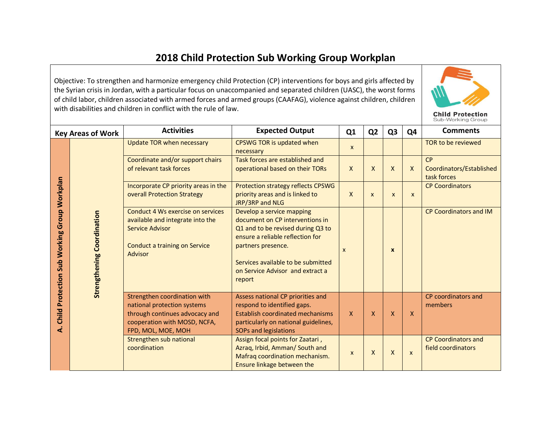Objective: To strengthen and harmonize emergency child Protection (CP) interventions for boys and girls affected by the Syrian crisis in Jordan, with a particular focus on unaccompanied and separated children (UASC), the worst forms of child labor, children associated with armed forces and armed groups (CAAFAG), violence against children, children with disabilities and children in conflict with the rule of law.



|                                                  | <b>Key Areas of Work</b>          | <b>Activities</b>                                                                                                                                   | <b>Expected Output</b>                                                                                                                                                                                                                          | Q <sub>1</sub>            | Q <sub>2</sub>            | Q <sub>3</sub> | Q4                        | <b>Comments</b>                                  |
|--------------------------------------------------|-----------------------------------|-----------------------------------------------------------------------------------------------------------------------------------------------------|-------------------------------------------------------------------------------------------------------------------------------------------------------------------------------------------------------------------------------------------------|---------------------------|---------------------------|----------------|---------------------------|--------------------------------------------------|
|                                                  |                                   | Update TOR when necessary                                                                                                                           | CPSWG TOR is updated when<br>necessary                                                                                                                                                                                                          | X                         |                           |                |                           | TOR to be reviewed                               |
| Child Protection Sub Working Group Workplan<br>خ |                                   | Coordinate and/or support chairs<br>of relevant task forces                                                                                         | Task forces are established and<br>operational based on their TORs                                                                                                                                                                              | X                         | X                         | X              | $\mathsf{x}$              | CP<br>Coordinators/Established<br>task forces    |
|                                                  |                                   | Incorporate CP priority areas in the<br>overall Protection Strategy                                                                                 | Protection strategy reflects CPSWG<br>priority areas and is linked to<br>JRP/3RP and NLG                                                                                                                                                        | $\mathsf{X}$              | $\boldsymbol{\mathsf{x}}$ | $\mathsf{x}$   | X                         | <b>CP Coordinators</b>                           |
|                                                  | <b>Strengthening Coordination</b> | Conduct 4 Ws exercise on services<br>available and integrate into the<br><b>Service Advisor</b><br>Conduct a training on Service<br>Advisor         | Develop a service mapping<br>document on CP interventions in<br>Q1 and to be revised during Q3 to<br>ensure a reliable reflection for<br>partners presence.<br>Services available to be submitted<br>on Service Advisor and extract a<br>report | X                         |                           | $\mathbf{x}$   |                           | <b>CP Coordinators and IM</b>                    |
|                                                  |                                   | Strengthen coordination with<br>national protection systems<br>through continues advocacy and<br>cooperation with MOSD, NCFA,<br>FPD, MOL, MOE, MOH | Assess national CP priorities and<br>respond to identified gaps.<br><b>Establish coordinated mechanisms</b><br>particularly on national guidelines,<br><b>SOPs and legislations</b>                                                             | X                         | $\mathsf{x}$              | X              | $\mathsf{x}$              | CP coordinators and<br>members                   |
|                                                  |                                   | Strengthen sub national<br>coordination                                                                                                             | Assign focal points for Zaatari,<br>Azraq, Irbid, Amman/ South and<br>Mafraq coordination mechanism.<br>Ensure linkage between the                                                                                                              | $\boldsymbol{\mathsf{x}}$ | X                         | X              | $\boldsymbol{\mathsf{x}}$ | <b>CP Coordinators and</b><br>field coordinators |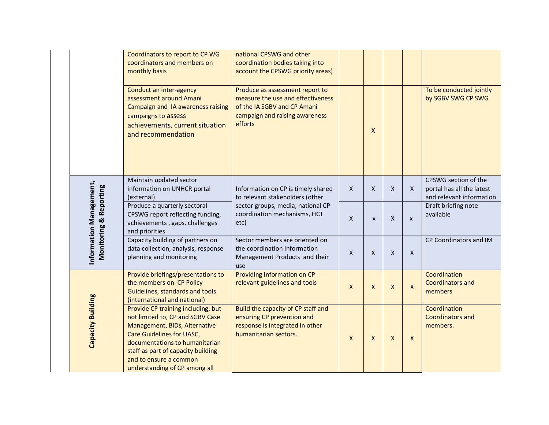|                                                   | Coordinators to report to CP WG<br>coordinators and members on<br>monthly basis                                                                                                                                                                                                | national CPSWG and other<br>coordination bodies taking into<br>account the CPSWG priority areas)                                                 |              |                    |                |                    |                                                                               |
|---------------------------------------------------|--------------------------------------------------------------------------------------------------------------------------------------------------------------------------------------------------------------------------------------------------------------------------------|--------------------------------------------------------------------------------------------------------------------------------------------------|--------------|--------------------|----------------|--------------------|-------------------------------------------------------------------------------|
|                                                   | Conduct an inter-agency<br>assessment around Amani<br>Campaign and IA awareness raising<br>campaigns to assess<br>achievements, current situation<br>and recommendation                                                                                                        | Produce as assessment report to<br>measure the use and effectiveness<br>of the IA SGBV and CP Amani<br>campaign and raising awareness<br>efforts |              | $\mathsf{X}$       |                |                    | To be conducted jointly<br>by SGBV SWG CP SWG                                 |
|                                                   | Maintain updated sector<br>information on UNHCR portal<br>(external)                                                                                                                                                                                                           | Information on CP is timely shared<br>to relevant stakeholders (other                                                                            | $\mathsf{X}$ | X                  | $\pmb{\times}$ | X                  | CPSWG section of the<br>portal has all the latest<br>and relevant information |
| Information Management,<br>Monitoring & Reporting | Produce a quarterly sectoral<br>CPSWG report reflecting funding,<br>achievements, gaps, challenges<br>and priorities                                                                                                                                                           | sector groups, media, national CP<br>coordination mechanisms, HCT<br>etc)                                                                        | $\mathsf X$  | $\pmb{\mathsf{X}}$ | X              | $\pmb{\times}$     | Draft briefing note<br>available                                              |
|                                                   | Capacity building of partners on<br>data collection, analysis, response<br>planning and monitoring                                                                                                                                                                             | Sector members are oriented on<br>the coordination Information<br>Management Products and their<br>use                                           | $\mathsf{x}$ | $\mathsf{x}$       | $\mathsf{x}$   | $\mathsf{X}$       | CP Coordinators and IM                                                        |
|                                                   | Provide briefings/presentations to<br>the members on CP Policy<br>Guidelines, standards and tools<br>(international and national)                                                                                                                                              | Providing Information on CP<br>relevant guidelines and tools                                                                                     | $\mathsf{x}$ | X                  | $\mathsf{X}$   | $\pmb{\mathsf{X}}$ | Coordination<br><b>Coordinators and</b><br>members                            |
| Capacity Building                                 | Provide CP training including, but<br>not limited to, CP and SGBV Case<br>Management, BIDs, Alternative<br><b>Care Guidelines for UASC,</b><br>documentations to humanitarian<br>staff as part of capacity building<br>and to ensure a common<br>understanding of CP among all | Build the capacity of CP staff and<br>ensuring CP prevention and<br>response is integrated in other<br>humanitarian sectors.                     | $\mathsf{x}$ | $\pmb{\mathsf{X}}$ | $\mathsf{x}$   | X                  | Coordination<br><b>Coordinators and</b><br>members.                           |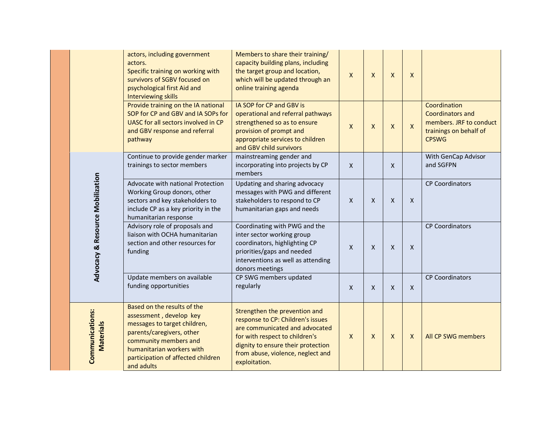|  |                                     | actors, including government<br>actors.<br>Specific training on working with<br>survivors of SGBV focused on<br>psychological first Aid and<br><b>Interviewing skills</b>                                                     | Members to share their training/<br>capacity building plans, including<br>the target group and location,<br>which will be updated through an<br>online training agenda                                                             | $\mathsf{x}$ | $\mathsf{x}$ | X                         | X                  |                                                                                                              |
|--|-------------------------------------|-------------------------------------------------------------------------------------------------------------------------------------------------------------------------------------------------------------------------------|------------------------------------------------------------------------------------------------------------------------------------------------------------------------------------------------------------------------------------|--------------|--------------|---------------------------|--------------------|--------------------------------------------------------------------------------------------------------------|
|  |                                     | Provide training on the IA national<br>SOP for CP and GBV and IA SOPs for<br>UASC for all sectors involved in CP<br>and GBV response and referral<br>pathway                                                                  | IA SOP for CP and GBV is<br>operational and referral pathways<br>strengthened so as to ensure<br>provision of prompt and<br>appropriate services to children<br>and GBV child survivors                                            | $\mathsf{X}$ | X            | X                         | $\pmb{\mathsf{X}}$ | Coordination<br><b>Coordinators and</b><br>members. JRF to conduct<br>trainings on behalf of<br><b>CPSWG</b> |
|  |                                     | Continue to provide gender marker<br>trainings to sector members                                                                                                                                                              | mainstreaming gender and<br>incorporating into projects by CP<br>members                                                                                                                                                           | $\mathsf{X}$ |              | X                         |                    | With GenCap Advisor<br>and SGFPN                                                                             |
|  | Advocacy & Resource Mobilization    | Advocate with national Protection<br>Working Group donors, other<br>sectors and key stakeholders to<br>include CP as a key priority in the<br>humanitarian response                                                           | Updating and sharing advocacy<br>messages with PWG and different<br>stakeholders to respond to CP<br>humanitarian gaps and needs                                                                                                   | $\mathsf{X}$ | X            | $\mathsf{X}$              | X                  | <b>CP Coordinators</b>                                                                                       |
|  |                                     | Advisory role of proposals and<br>liaison with OCHA humanitarian<br>section and other resources for<br>funding                                                                                                                | Coordinating with PWG and the<br>inter sector working group<br>coordinators, highlighting CP<br>priorities/gaps and needed<br>interventions as well as attending<br>donors meetings                                                | $\mathsf{X}$ | X            | $\boldsymbol{\mathsf{X}}$ | X                  | <b>CP Coordinators</b>                                                                                       |
|  |                                     | Update members on available<br>funding opportunities                                                                                                                                                                          | CP SWG members updated<br>regularly                                                                                                                                                                                                | $\mathsf{x}$ | X            | X                         | X                  | <b>CP Coordinators</b>                                                                                       |
|  | Communications:<br><b>Materials</b> | Based on the results of the<br>assessment, develop key<br>messages to target children,<br>parents/caregivers, other<br>community members and<br>humanitarian workers with<br>participation of affected children<br>and adults | Strengthen the prevention and<br>response to CP: Children's issues<br>are communicated and advocated<br>for with respect to children's<br>dignity to ensure their protection<br>from abuse, violence, neglect and<br>exploitation. | X            | X            | X                         | $\mathsf{X}$       | All CP SWG members                                                                                           |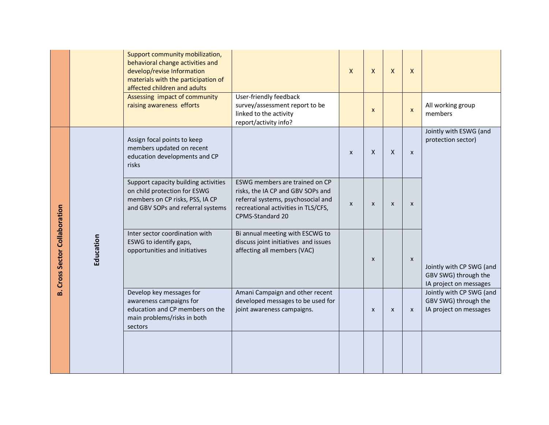|                                   |           | Support community mobilization,<br>behavioral change activities and<br>develop/revise Information<br>materials with the participation of<br>affected children and adults |                                                                                                                                                                      | $\mathsf{x}$              | $\mathsf{X}$ | $\boldsymbol{\mathsf{X}}$ | $\mathsf{X}$              |                                                                            |
|-----------------------------------|-----------|--------------------------------------------------------------------------------------------------------------------------------------------------------------------------|----------------------------------------------------------------------------------------------------------------------------------------------------------------------|---------------------------|--------------|---------------------------|---------------------------|----------------------------------------------------------------------------|
|                                   |           | Assessing impact of community<br>raising awareness efforts                                                                                                               | User-friendly feedback<br>survey/assessment report to be<br>linked to the activity<br>report/activity info?                                                          |                           | $\mathsf{x}$ |                           | $\mathsf{x}$              | All working group<br>members                                               |
|                                   |           | Assign focal points to keep<br>members updated on recent<br>education developments and CP<br>risks                                                                       |                                                                                                                                                                      | $\mathsf{x}$              | X            | X                         | $\mathsf{x}$              | Jointly with ESWG (and<br>protection sector)                               |
| <b>Cross Sector Collaboration</b> | Education | Support capacity building activities<br>on child protection for ESWG<br>members on CP risks, PSS, IA CP<br>and GBV SOPs and referral systems                             | ESWG members are trained on CP<br>risks, the IA CP and GBV SOPs and<br>referral systems, psychosocial and<br>recreational activities in TLS/CFS,<br>CPMS-Standard 20 | $\boldsymbol{\mathsf{X}}$ | X            | X                         | $\boldsymbol{\mathsf{x}}$ |                                                                            |
|                                   |           | Inter sector coordination with<br>ESWG to identify gaps,<br>opportunities and initiatives                                                                                | Bi annual meeting with ESCWG to<br>discuss joint initiatives and issues<br>affecting all members (VAC)                                                               |                           | $\mathsf{x}$ |                           | $\mathsf{x}$              | Jointly with CP SWG (and<br>GBV SWG) through the<br>IA project on messages |
| هٔ                                |           | Develop key messages for<br>awareness campaigns for<br>education and CP members on the<br>main problems/risks in both<br>sectors                                         | Amani Campaign and other recent<br>developed messages to be used for<br>joint awareness campaigns.                                                                   |                           | X            | $\boldsymbol{\mathsf{x}}$ | $\mathsf{x}$              | Jointly with CP SWG (and<br>GBV SWG) through the<br>IA project on messages |
|                                   |           |                                                                                                                                                                          |                                                                                                                                                                      |                           |              |                           |                           |                                                                            |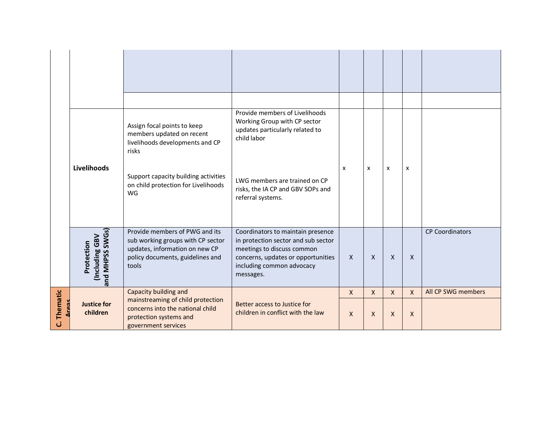|             |                                                       | Assign focal points to keep<br>members updated on recent<br>livelihoods developments and CP<br>risks                                               | Provide members of Livelihoods<br>Working Group with CP sector<br>updates particularly related to<br>child labor                                                                       |                  |              |              |              |                        |
|-------------|-------------------------------------------------------|----------------------------------------------------------------------------------------------------------------------------------------------------|----------------------------------------------------------------------------------------------------------------------------------------------------------------------------------------|------------------|--------------|--------------|--------------|------------------------|
|             | Livelihoods                                           | Support capacity building activities<br>on child protection for Livelihoods<br>WG                                                                  | LWG members are trained on CP<br>risks, the IA CP and GBV SOPs and<br>referral systems.                                                                                                | $\mathsf{x}$     | X            | X            | X            |                        |
|             | and MHPSS SWGs)<br><b>Including GBV</b><br>Protection | Provide members of PWG and its<br>sub working groups with CP sector<br>updates, information on new CP<br>policy documents, guidelines and<br>tools | Coordinators to maintain presence<br>in protection sector and sub sector<br>meetings to discuss common<br>concerns, updates or opportunities<br>including common advocacy<br>messages. | $\boldsymbol{X}$ | $\mathsf{X}$ | $\mathsf{X}$ | $\mathsf{X}$ | <b>CP Coordinators</b> |
|             |                                                       | Capacity building and<br>mainstreaming of child protection                                                                                         |                                                                                                                                                                                        | $\mathsf{x}$     | $\mathsf{X}$ | $\mathsf{X}$ | $\mathsf{X}$ | All CP SWG members     |
| C. Thematic | <b>Justice for</b><br>children                        | concerns into the national child<br>protection systems and<br>government services                                                                  | Better access to Justice for<br>children in conflict with the law                                                                                                                      | $\mathsf{X}$     | $\mathsf{X}$ | $\mathsf{X}$ | X            |                        |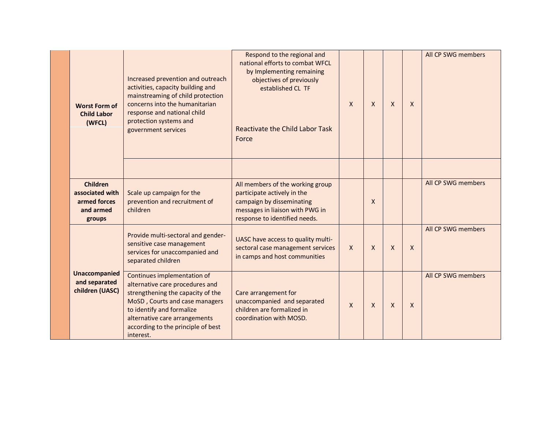| <b>Worst Form of</b><br><b>Child Labor</b><br>(WFCL)                      | Increased prevention and outreach<br>activities, capacity building and<br>mainstreaming of child protection<br>concerns into the humanitarian<br>response and national child<br>protection systems and<br>government services                          | Respond to the regional and<br>national efforts to combat WFCL<br>by Implementing remaining<br>objectives of previously<br>established CL TF<br><b>Reactivate the Child Labor Task</b><br>Force | $\mathsf{x}$ | $\mathsf{X}$ | $\mathsf{x}$ | $\mathsf{x}$ | All CP SWG members |
|---------------------------------------------------------------------------|--------------------------------------------------------------------------------------------------------------------------------------------------------------------------------------------------------------------------------------------------------|-------------------------------------------------------------------------------------------------------------------------------------------------------------------------------------------------|--------------|--------------|--------------|--------------|--------------------|
| <b>Children</b><br>associated with<br>armed forces<br>and armed<br>groups | Scale up campaign for the<br>prevention and recruitment of<br>children                                                                                                                                                                                 | All members of the working group<br>participate actively in the<br>campaign by disseminating<br>messages in liaison with PWG in<br>response to identified needs.                                |              | $\mathsf{x}$ |              |              | All CP SWG members |
|                                                                           | Provide multi-sectoral and gender-<br>sensitive case management<br>services for unaccompanied and<br>separated children                                                                                                                                | UASC have access to quality multi-<br>sectoral case management services<br>in camps and host communities                                                                                        | $\mathsf{X}$ | $\mathsf{X}$ | $\mathsf{X}$ | $\mathsf{x}$ | All CP SWG members |
| <b>Unaccompanied</b><br>and separated<br>children (UASC)                  | Continues implementation of<br>alternative care procedures and<br>strengthening the capacity of the<br>MoSD, Courts and case managers<br>to identify and formalize<br>alternative care arrangements<br>according to the principle of best<br>interest. | Care arrangement for<br>unaccompanied and separated<br>children are formalized in<br>coordination with MOSD.                                                                                    | $\mathsf{x}$ | $\mathsf{X}$ | $\mathsf{x}$ | $\mathsf{X}$ | All CP SWG members |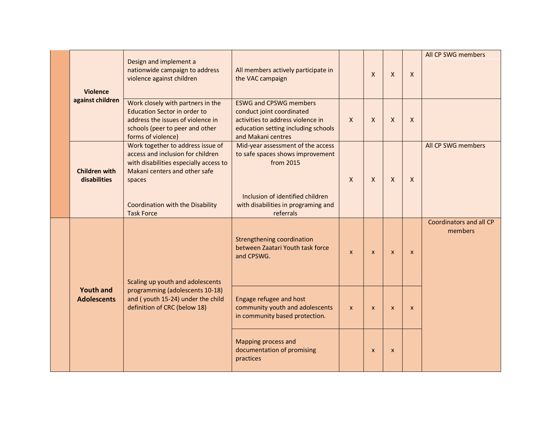| <b>Violence</b>                                                        | Design and implement a<br>nationwide campaign to address<br>violence against children                                                                                  | All members actively participate in<br>the VAC campaign                                                                                                      |              | $\mathsf{X}$ | X            | $\mathsf{X}$ | All CP SWG members                 |
|------------------------------------------------------------------------|------------------------------------------------------------------------------------------------------------------------------------------------------------------------|--------------------------------------------------------------------------------------------------------------------------------------------------------------|--------------|--------------|--------------|--------------|------------------------------------|
| against children                                                       | Work closely with partners in the<br><b>Education Sector in order to</b><br>address the issues of violence in<br>schools (peer to peer and other<br>forms of violence) | <b>ESWG and CPSWG members</b><br>conduct joint coordinated<br>activities to address violence in<br>education setting including schools<br>and Makani centres | $\mathsf{X}$ | $\mathsf{X}$ | X            | X            |                                    |
| <b>Children with</b><br>disabilities                                   | Work together to address issue of<br>access and inclusion for children<br>with disabilities especially access to<br>Makani centers and other safe<br>spaces            | Mid-year assessment of the access<br>to safe spaces shows improvement<br>from 2015                                                                           | $\mathsf{X}$ | $\mathsf{X}$ | $\mathsf{X}$ | X            | All CP SWG members                 |
|                                                                        | Coordination with the Disability<br><b>Task Force</b>                                                                                                                  | Inclusion of identified children<br>with disabilities in programing and<br>referrals                                                                         |              |              |              |              |                                    |
| <b>Youth and</b><br><b>Adolescents</b><br>definition of CRC (below 18) | Scaling up youth and adolescents                                                                                                                                       | <b>Strengthening coordination</b><br>between Zaatari Youth task force<br>and CPSWG.                                                                          | $\mathsf{x}$ | $\mathsf{x}$ | $\mathsf{x}$ | $\mathsf{x}$ | Coordinators and all CP<br>members |
|                                                                        | programming (adolescents 10-18)<br>and (youth 15-24) under the child                                                                                                   | Engage refugee and host<br>community youth and adolescents<br>in community based protection.                                                                 | $\mathsf{x}$ | $\mathsf{x}$ | $\mathsf{x}$ | $\mathsf{x}$ |                                    |
|                                                                        |                                                                                                                                                                        | Mapping process and<br>documentation of promising<br>practices                                                                                               |              | $\mathsf{x}$ | $\mathsf{x}$ |              |                                    |